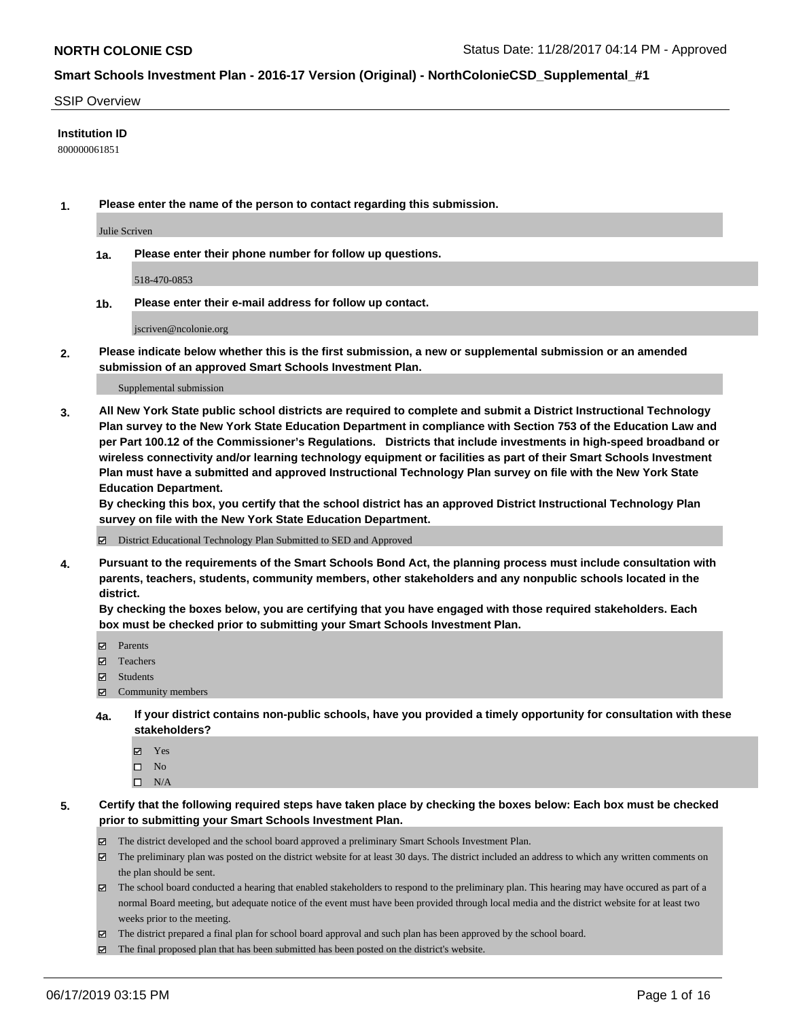#### SSIP Overview

#### **Institution ID**

800000061851

**1. Please enter the name of the person to contact regarding this submission.**

Julie Scriven

**1a. Please enter their phone number for follow up questions.**

518-470-0853

**1b. Please enter their e-mail address for follow up contact.**

jscriven@ncolonie.org

**2. Please indicate below whether this is the first submission, a new or supplemental submission or an amended submission of an approved Smart Schools Investment Plan.**

#### Supplemental submission

**3. All New York State public school districts are required to complete and submit a District Instructional Technology Plan survey to the New York State Education Department in compliance with Section 753 of the Education Law and per Part 100.12 of the Commissioner's Regulations. Districts that include investments in high-speed broadband or wireless connectivity and/or learning technology equipment or facilities as part of their Smart Schools Investment Plan must have a submitted and approved Instructional Technology Plan survey on file with the New York State Education Department.** 

**By checking this box, you certify that the school district has an approved District Instructional Technology Plan survey on file with the New York State Education Department.**

District Educational Technology Plan Submitted to SED and Approved

**4. Pursuant to the requirements of the Smart Schools Bond Act, the planning process must include consultation with parents, teachers, students, community members, other stakeholders and any nonpublic schools located in the district.** 

**By checking the boxes below, you are certifying that you have engaged with those required stakeholders. Each box must be checked prior to submitting your Smart Schools Investment Plan.**

- Parents
- Teachers
- Students
- Community members
- **4a. If your district contains non-public schools, have you provided a timely opportunity for consultation with these stakeholders?**
	- Yes
	- $\square$  No
	- $\square$  N/A
- **5. Certify that the following required steps have taken place by checking the boxes below: Each box must be checked prior to submitting your Smart Schools Investment Plan.**
	- The district developed and the school board approved a preliminary Smart Schools Investment Plan.
	- $\boxtimes$  The preliminary plan was posted on the district website for at least 30 days. The district included an address to which any written comments on the plan should be sent.
	- $\boxtimes$  The school board conducted a hearing that enabled stakeholders to respond to the preliminary plan. This hearing may have occured as part of a normal Board meeting, but adequate notice of the event must have been provided through local media and the district website for at least two weeks prior to the meeting.
	- The district prepared a final plan for school board approval and such plan has been approved by the school board.
	- $\boxtimes$  The final proposed plan that has been submitted has been posted on the district's website.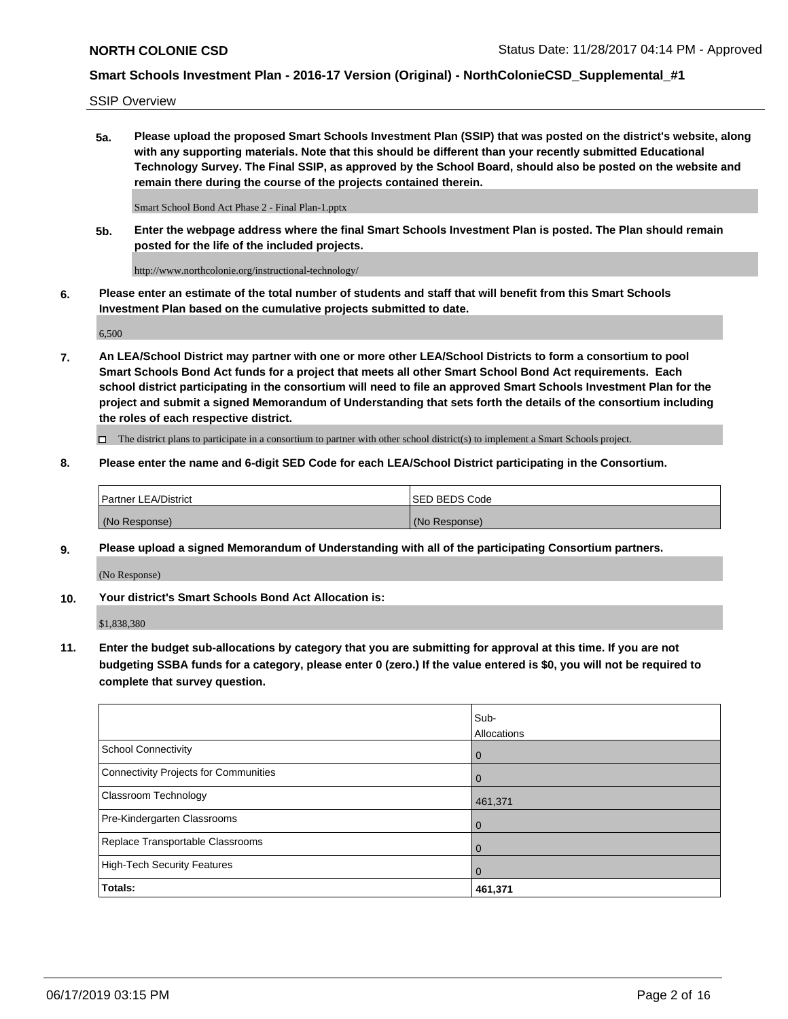SSIP Overview

**5a. Please upload the proposed Smart Schools Investment Plan (SSIP) that was posted on the district's website, along with any supporting materials. Note that this should be different than your recently submitted Educational Technology Survey. The Final SSIP, as approved by the School Board, should also be posted on the website and remain there during the course of the projects contained therein.**

Smart School Bond Act Phase 2 - Final Plan-1.pptx

**5b. Enter the webpage address where the final Smart Schools Investment Plan is posted. The Plan should remain posted for the life of the included projects.**

http://www.northcolonie.org/instructional-technology/

**6. Please enter an estimate of the total number of students and staff that will benefit from this Smart Schools Investment Plan based on the cumulative projects submitted to date.**

6,500

**7. An LEA/School District may partner with one or more other LEA/School Districts to form a consortium to pool Smart Schools Bond Act funds for a project that meets all other Smart School Bond Act requirements. Each school district participating in the consortium will need to file an approved Smart Schools Investment Plan for the project and submit a signed Memorandum of Understanding that sets forth the details of the consortium including the roles of each respective district.**

 $\Box$  The district plans to participate in a consortium to partner with other school district(s) to implement a Smart Schools project.

#### **8. Please enter the name and 6-digit SED Code for each LEA/School District participating in the Consortium.**

| Partner LEA/District | <b>ISED BEDS Code</b> |
|----------------------|-----------------------|
| (No Response)        | (No Response)         |

#### **9. Please upload a signed Memorandum of Understanding with all of the participating Consortium partners.**

(No Response)

**10. Your district's Smart Schools Bond Act Allocation is:**

\$1,838,380

**11. Enter the budget sub-allocations by category that you are submitting for approval at this time. If you are not budgeting SSBA funds for a category, please enter 0 (zero.) If the value entered is \$0, you will not be required to complete that survey question.**

|                                       | Sub-<br><b>Allocations</b> |
|---------------------------------------|----------------------------|
| School Connectivity                   | l 0                        |
| Connectivity Projects for Communities | $\Omega$                   |
| <b>Classroom Technology</b>           | 461,371                    |
| Pre-Kindergarten Classrooms           | $\overline{0}$             |
| Replace Transportable Classrooms      | $\Omega$                   |
| High-Tech Security Features           | 0                          |
| Totals:                               | 461,371                    |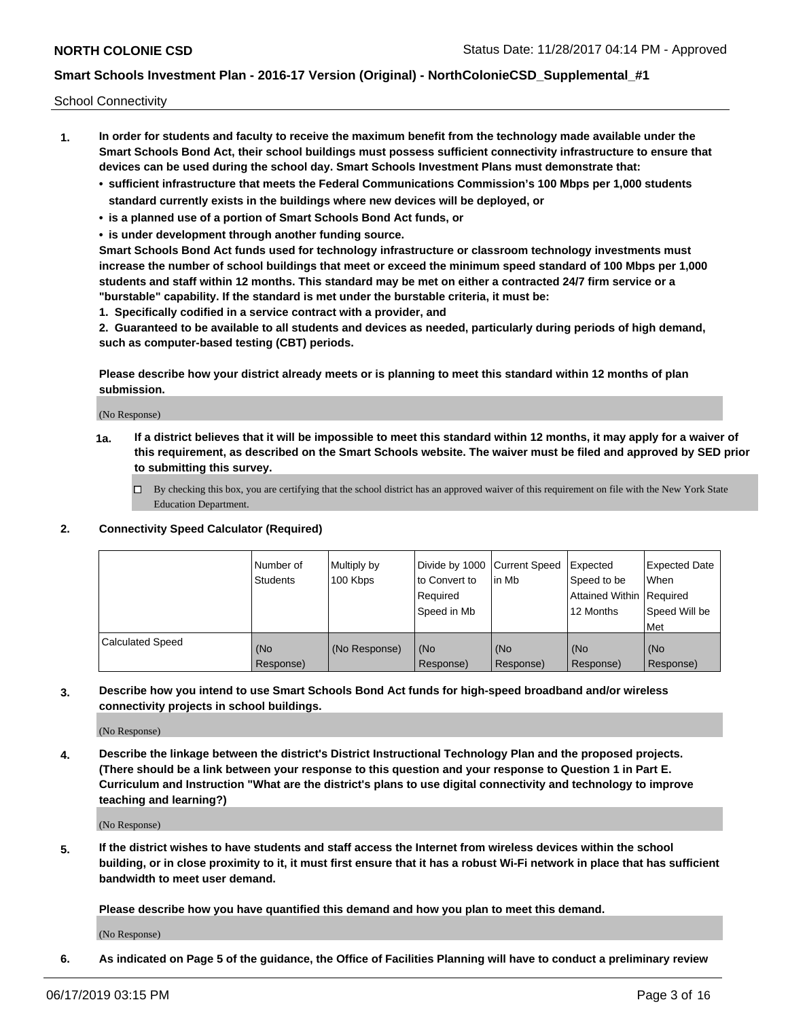School Connectivity

- **1. In order for students and faculty to receive the maximum benefit from the technology made available under the Smart Schools Bond Act, their school buildings must possess sufficient connectivity infrastructure to ensure that devices can be used during the school day. Smart Schools Investment Plans must demonstrate that:**
	- **• sufficient infrastructure that meets the Federal Communications Commission's 100 Mbps per 1,000 students standard currently exists in the buildings where new devices will be deployed, or**
	- **• is a planned use of a portion of Smart Schools Bond Act funds, or**
	- **• is under development through another funding source.**

**Smart Schools Bond Act funds used for technology infrastructure or classroom technology investments must increase the number of school buildings that meet or exceed the minimum speed standard of 100 Mbps per 1,000 students and staff within 12 months. This standard may be met on either a contracted 24/7 firm service or a "burstable" capability. If the standard is met under the burstable criteria, it must be:**

**1. Specifically codified in a service contract with a provider, and**

**2. Guaranteed to be available to all students and devices as needed, particularly during periods of high demand, such as computer-based testing (CBT) periods.**

**Please describe how your district already meets or is planning to meet this standard within 12 months of plan submission.**

(No Response)

**1a. If a district believes that it will be impossible to meet this standard within 12 months, it may apply for a waiver of this requirement, as described on the Smart Schools website. The waiver must be filed and approved by SED prior to submitting this survey.**

 $\Box$  By checking this box, you are certifying that the school district has an approved waiver of this requirement on file with the New York State Education Department.

#### **2. Connectivity Speed Calculator (Required)**

|                         | l Number of<br><b>Students</b> | Multiply by<br>100 Kbps | Divide by 1000 Current Speed<br>to Convert to<br>Required<br>l Speed in Mb | lin Mb           | Expected<br>Speed to be<br>Attained Within   Required<br>12 Months | <b>Expected Date</b><br>When<br>Speed Will be<br>Met |
|-------------------------|--------------------------------|-------------------------|----------------------------------------------------------------------------|------------------|--------------------------------------------------------------------|------------------------------------------------------|
| <b>Calculated Speed</b> | (No<br>Response)               | (No Response)           | (No<br>Response)                                                           | (No<br>Response) | (No<br>Response)                                                   | (No<br>Response)                                     |

**3. Describe how you intend to use Smart Schools Bond Act funds for high-speed broadband and/or wireless connectivity projects in school buildings.**

(No Response)

**4. Describe the linkage between the district's District Instructional Technology Plan and the proposed projects. (There should be a link between your response to this question and your response to Question 1 in Part E. Curriculum and Instruction "What are the district's plans to use digital connectivity and technology to improve teaching and learning?)**

(No Response)

**5. If the district wishes to have students and staff access the Internet from wireless devices within the school building, or in close proximity to it, it must first ensure that it has a robust Wi-Fi network in place that has sufficient bandwidth to meet user demand.**

**Please describe how you have quantified this demand and how you plan to meet this demand.**

(No Response)

**6. As indicated on Page 5 of the guidance, the Office of Facilities Planning will have to conduct a preliminary review**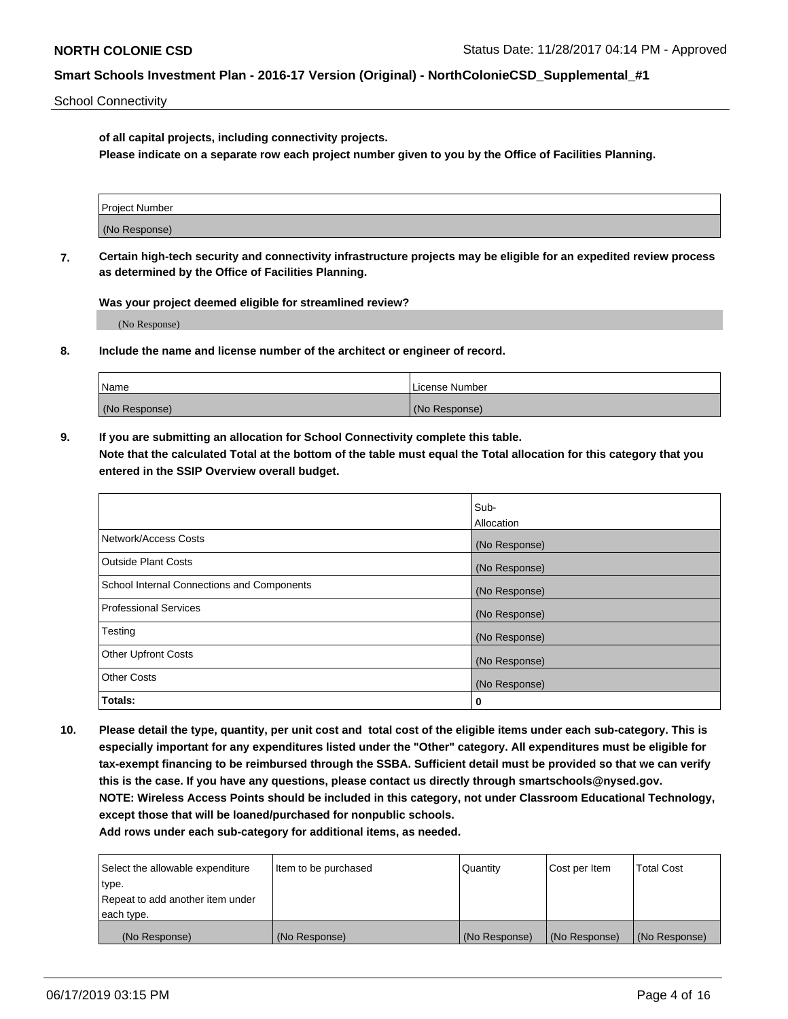School Connectivity

**of all capital projects, including connectivity projects.**

**Please indicate on a separate row each project number given to you by the Office of Facilities Planning.**

| Project Number |  |
|----------------|--|
|                |  |
| (No Response)  |  |
|                |  |

**7. Certain high-tech security and connectivity infrastructure projects may be eligible for an expedited review process as determined by the Office of Facilities Planning.**

**Was your project deemed eligible for streamlined review?**

(No Response)

**8. Include the name and license number of the architect or engineer of record.**

| Name          | License Number |
|---------------|----------------|
| (No Response) | (No Response)  |

**9. If you are submitting an allocation for School Connectivity complete this table. Note that the calculated Total at the bottom of the table must equal the Total allocation for this category that you entered in the SSIP Overview overall budget.** 

|                                            | Sub-          |
|--------------------------------------------|---------------|
|                                            | Allocation    |
| Network/Access Costs                       | (No Response) |
| Outside Plant Costs                        | (No Response) |
| School Internal Connections and Components | (No Response) |
| <b>Professional Services</b>               | (No Response) |
| Testing                                    | (No Response) |
| <b>Other Upfront Costs</b>                 | (No Response) |
| <b>Other Costs</b>                         | (No Response) |
| Totals:                                    | 0             |

**10. Please detail the type, quantity, per unit cost and total cost of the eligible items under each sub-category. This is especially important for any expenditures listed under the "Other" category. All expenditures must be eligible for tax-exempt financing to be reimbursed through the SSBA. Sufficient detail must be provided so that we can verify this is the case. If you have any questions, please contact us directly through smartschools@nysed.gov. NOTE: Wireless Access Points should be included in this category, not under Classroom Educational Technology, except those that will be loaned/purchased for nonpublic schools.**

| Select the allowable expenditure | Item to be purchased | Quantity      | <b>Cost per Item</b> | <b>Total Cost</b> |
|----------------------------------|----------------------|---------------|----------------------|-------------------|
| type.                            |                      |               |                      |                   |
| Repeat to add another item under |                      |               |                      |                   |
| each type.                       |                      |               |                      |                   |
| (No Response)                    | (No Response)        | (No Response) | (No Response)        | (No Response)     |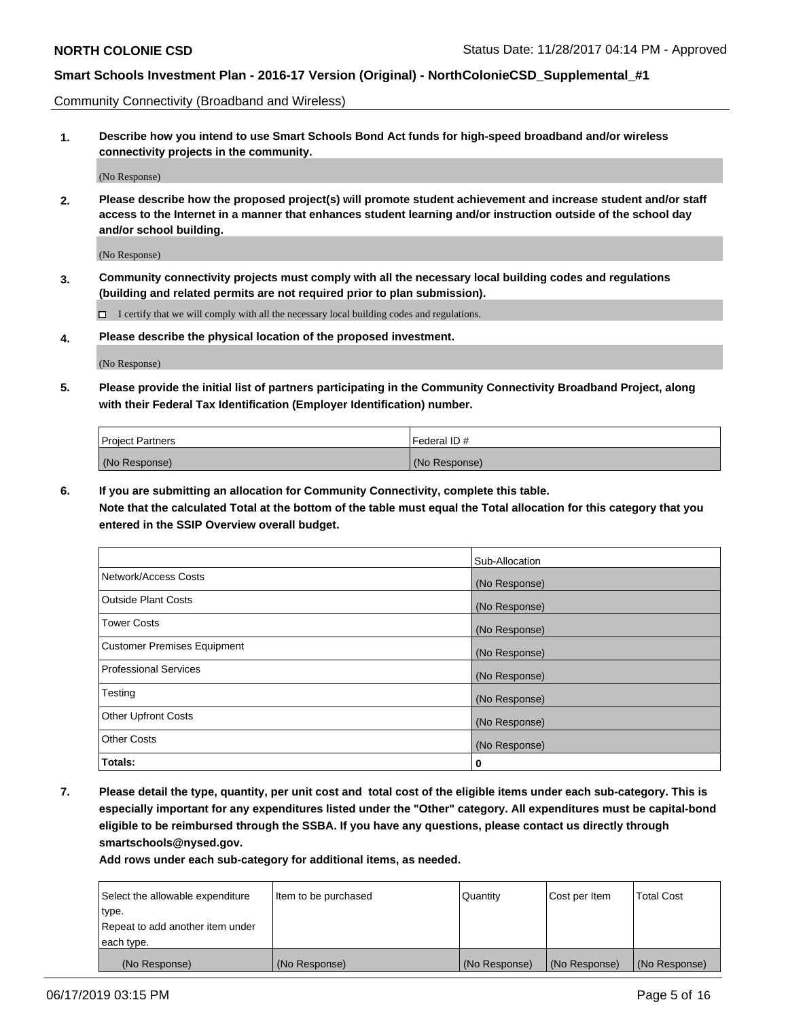Community Connectivity (Broadband and Wireless)

**1. Describe how you intend to use Smart Schools Bond Act funds for high-speed broadband and/or wireless connectivity projects in the community.**

(No Response)

**2. Please describe how the proposed project(s) will promote student achievement and increase student and/or staff access to the Internet in a manner that enhances student learning and/or instruction outside of the school day and/or school building.**

(No Response)

**3. Community connectivity projects must comply with all the necessary local building codes and regulations (building and related permits are not required prior to plan submission).**

 $\Box$  I certify that we will comply with all the necessary local building codes and regulations.

**4. Please describe the physical location of the proposed investment.**

(No Response)

**5. Please provide the initial list of partners participating in the Community Connectivity Broadband Project, along with their Federal Tax Identification (Employer Identification) number.**

| <b>Project Partners</b> | l Federal ID # |
|-------------------------|----------------|
| (No Response)           | (No Response)  |

**6. If you are submitting an allocation for Community Connectivity, complete this table.**

**Note that the calculated Total at the bottom of the table must equal the Total allocation for this category that you entered in the SSIP Overview overall budget.**

|                                    | Sub-Allocation |
|------------------------------------|----------------|
| Network/Access Costs               | (No Response)  |
| <b>Outside Plant Costs</b>         | (No Response)  |
| <b>Tower Costs</b>                 | (No Response)  |
| <b>Customer Premises Equipment</b> | (No Response)  |
| <b>Professional Services</b>       | (No Response)  |
| Testing                            | (No Response)  |
| <b>Other Upfront Costs</b>         | (No Response)  |
| <b>Other Costs</b>                 | (No Response)  |
| Totals:                            | 0              |

**7. Please detail the type, quantity, per unit cost and total cost of the eligible items under each sub-category. This is especially important for any expenditures listed under the "Other" category. All expenditures must be capital-bond eligible to be reimbursed through the SSBA. If you have any questions, please contact us directly through smartschools@nysed.gov.**

| Select the allowable expenditure | Item to be purchased | Quantity      | Cost per Item | <b>Total Cost</b> |
|----------------------------------|----------------------|---------------|---------------|-------------------|
| type.                            |                      |               |               |                   |
| Repeat to add another item under |                      |               |               |                   |
| each type.                       |                      |               |               |                   |
| (No Response)                    | (No Response)        | (No Response) | (No Response) | (No Response)     |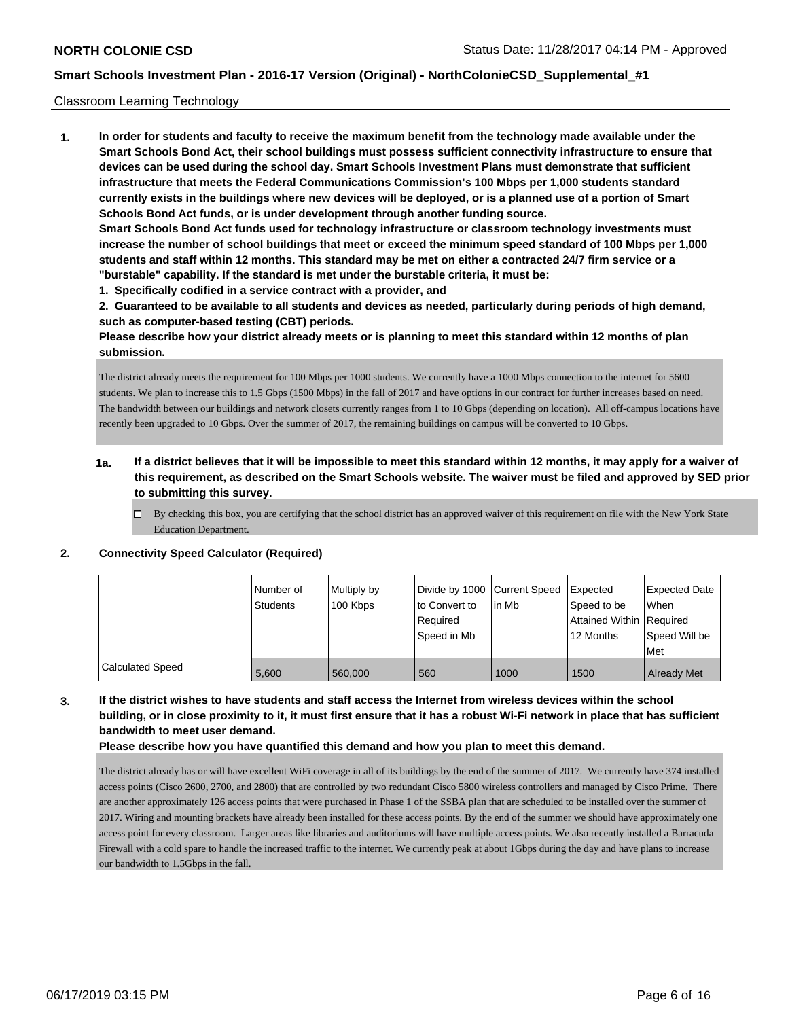#### Classroom Learning Technology

**1. In order for students and faculty to receive the maximum benefit from the technology made available under the Smart Schools Bond Act, their school buildings must possess sufficient connectivity infrastructure to ensure that devices can be used during the school day. Smart Schools Investment Plans must demonstrate that sufficient infrastructure that meets the Federal Communications Commission's 100 Mbps per 1,000 students standard currently exists in the buildings where new devices will be deployed, or is a planned use of a portion of Smart Schools Bond Act funds, or is under development through another funding source. Smart Schools Bond Act funds used for technology infrastructure or classroom technology investments must increase the number of school buildings that meet or exceed the minimum speed standard of 100 Mbps per 1,000 students and staff within 12 months. This standard may be met on either a contracted 24/7 firm service or a "burstable" capability. If the standard is met under the burstable criteria, it must be:**

**1. Specifically codified in a service contract with a provider, and**

**2. Guaranteed to be available to all students and devices as needed, particularly during periods of high demand, such as computer-based testing (CBT) periods.**

**Please describe how your district already meets or is planning to meet this standard within 12 months of plan submission.**

The district already meets the requirement for 100 Mbps per 1000 students. We currently have a 1000 Mbps connection to the internet for 5600 students. We plan to increase this to 1.5 Gbps (1500 Mbps) in the fall of 2017 and have options in our contract for further increases based on need. The bandwidth between our buildings and network closets currently ranges from 1 to 10 Gbps (depending on location). All off-campus locations have recently been upgraded to 10 Gbps. Over the summer of 2017, the remaining buildings on campus will be converted to 10 Gbps.

### **1a. If a district believes that it will be impossible to meet this standard within 12 months, it may apply for a waiver of this requirement, as described on the Smart Schools website. The waiver must be filed and approved by SED prior to submitting this survey.**

By checking this box, you are certifying that the school district has an approved waiver of this requirement on file with the New York State Education Department.

#### **2. Connectivity Speed Calculator (Required)**

|                         | l Number of<br>Students | Multiply by<br>100 Kbps | Divide by 1000 Current Speed<br>to Convert to<br>Required<br>Speed in Mb | lin Mb | <b>Expected</b><br>Speed to be<br>Attained Within Required<br>12 Months | <b>Expected Date</b><br><b>When</b><br>Speed Will be<br>Met |
|-------------------------|-------------------------|-------------------------|--------------------------------------------------------------------------|--------|-------------------------------------------------------------------------|-------------------------------------------------------------|
| <b>Calculated Speed</b> | 5,600                   | 560,000                 | 560                                                                      | 1000   | 1500                                                                    | <b>Already Met</b>                                          |

### **3. If the district wishes to have students and staff access the Internet from wireless devices within the school building, or in close proximity to it, it must first ensure that it has a robust Wi-Fi network in place that has sufficient bandwidth to meet user demand.**

**Please describe how you have quantified this demand and how you plan to meet this demand.**

The district already has or will have excellent WiFi coverage in all of its buildings by the end of the summer of 2017. We currently have 374 installed access points (Cisco 2600, 2700, and 2800) that are controlled by two redundant Cisco 5800 wireless controllers and managed by Cisco Prime. There are another approximately 126 access points that were purchased in Phase 1 of the SSBA plan that are scheduled to be installed over the summer of 2017. Wiring and mounting brackets have already been installed for these access points. By the end of the summer we should have approximately one access point for every classroom. Larger areas like libraries and auditoriums will have multiple access points. We also recently installed a Barracuda Firewall with a cold spare to handle the increased traffic to the internet. We currently peak at about 1Gbps during the day and have plans to increase our bandwidth to 1.5Gbps in the fall.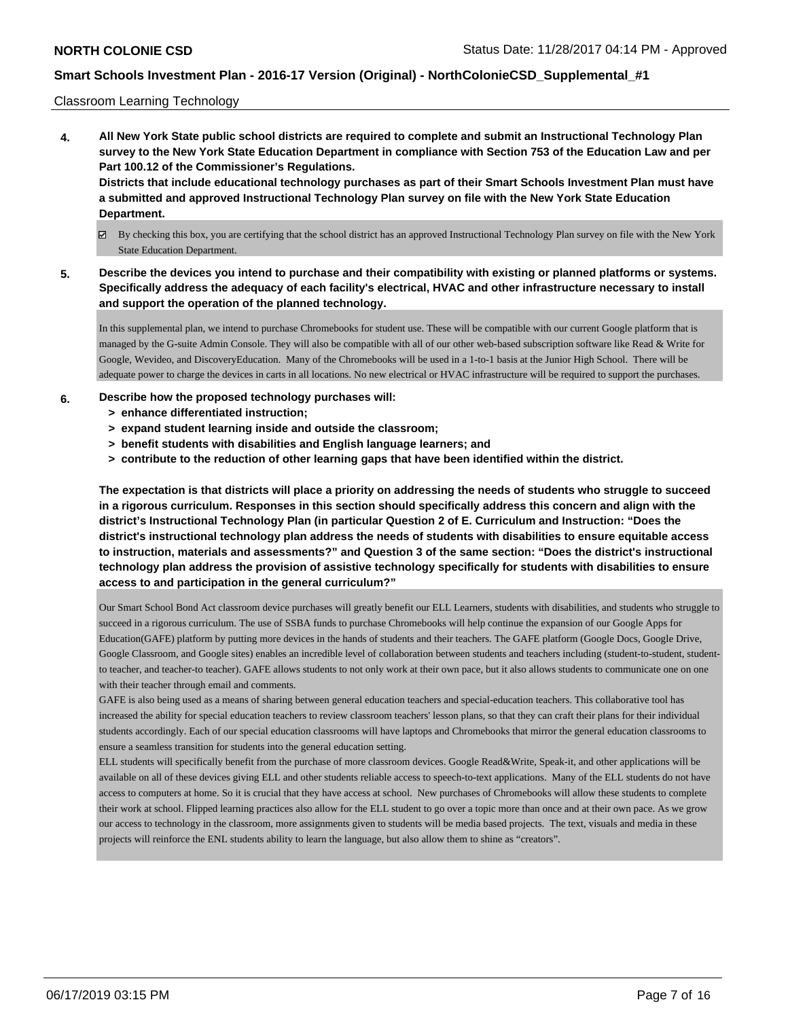#### Classroom Learning Technology

**4. All New York State public school districts are required to complete and submit an Instructional Technology Plan survey to the New York State Education Department in compliance with Section 753 of the Education Law and per Part 100.12 of the Commissioner's Regulations. Districts that include educational technology purchases as part of their Smart Schools Investment Plan must have a submitted and approved Instructional Technology Plan survey on file with the New York State Education**

# **Department.**

- By checking this box, you are certifying that the school district has an approved Instructional Technology Plan survey on file with the New York State Education Department.
- **5. Describe the devices you intend to purchase and their compatibility with existing or planned platforms or systems. Specifically address the adequacy of each facility's electrical, HVAC and other infrastructure necessary to install and support the operation of the planned technology.**

In this supplemental plan, we intend to purchase Chromebooks for student use. These will be compatible with our current Google platform that is managed by the G-suite Admin Console. They will also be compatible with all of our other web-based subscription software like Read & Write for Google, Wevideo, and DiscoveryEducation. Many of the Chromebooks will be used in a 1-to-1 basis at the Junior High School. There will be adequate power to charge the devices in carts in all locations. No new electrical or HVAC infrastructure will be required to support the purchases.

#### **6. Describe how the proposed technology purchases will:**

- **> enhance differentiated instruction;**
- **> expand student learning inside and outside the classroom;**
- **> benefit students with disabilities and English language learners; and**
- **> contribute to the reduction of other learning gaps that have been identified within the district.**

**The expectation is that districts will place a priority on addressing the needs of students who struggle to succeed in a rigorous curriculum. Responses in this section should specifically address this concern and align with the district's Instructional Technology Plan (in particular Question 2 of E. Curriculum and Instruction: "Does the district's instructional technology plan address the needs of students with disabilities to ensure equitable access to instruction, materials and assessments?" and Question 3 of the same section: "Does the district's instructional technology plan address the provision of assistive technology specifically for students with disabilities to ensure access to and participation in the general curriculum?"**

Our Smart School Bond Act classroom device purchases will greatly benefit our ELL Learners, students with disabilities, and students who struggle to succeed in a rigorous curriculum. The use of SSBA funds to purchase Chromebooks will help continue the expansion of our Google Apps for Education(GAFE) platform by putting more devices in the hands of students and their teachers. The GAFE platform (Google Docs, Google Drive, Google Classroom, and Google sites) enables an incredible level of collaboration between students and teachers including (student-to-student, studentto teacher, and teacher-to teacher). GAFE allows students to not only work at their own pace, but it also allows students to communicate one on one with their teacher through email and comments.

GAFE is also being used as a means of sharing between general education teachers and special-education teachers. This collaborative tool has increased the ability for special education teachers to review classroom teachers' lesson plans, so that they can craft their plans for their individual students accordingly. Each of our special education classrooms will have laptops and Chromebooks that mirror the general education classrooms to ensure a seamless transition for students into the general education setting.

ELL students will specifically benefit from the purchase of more classroom devices. Google Read&Write, Speak-it, and other applications will be available on all of these devices giving ELL and other students reliable access to speech-to-text applications. Many of the ELL students do not have access to computers at home. So it is crucial that they have access at school. New purchases of Chromebooks will allow these students to complete their work at school. Flipped learning practices also allow for the ELL student to go over a topic more than once and at their own pace. As we grow our access to technology in the classroom, more assignments given to students will be media based projects. The text, visuals and media in these projects will reinforce the ENL students ability to learn the language, but also allow them to shine as "creators".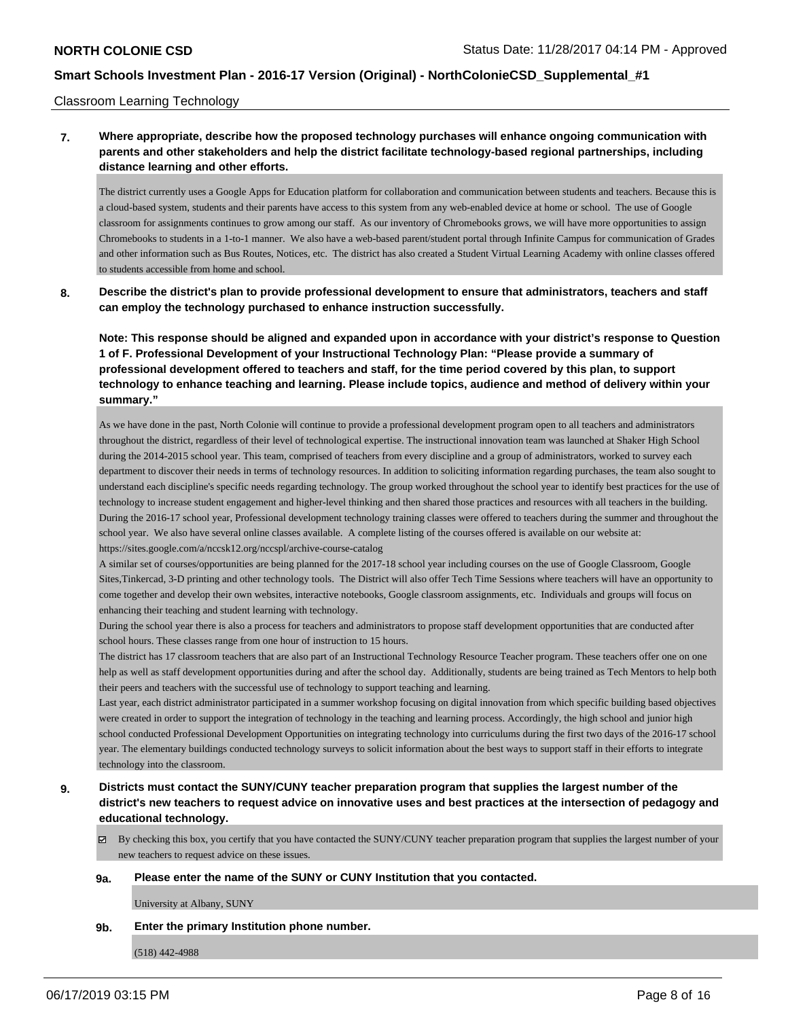#### Classroom Learning Technology

### **7. Where appropriate, describe how the proposed technology purchases will enhance ongoing communication with parents and other stakeholders and help the district facilitate technology-based regional partnerships, including distance learning and other efforts.**

The district currently uses a Google Apps for Education platform for collaboration and communication between students and teachers. Because this is a cloud-based system, students and their parents have access to this system from any web-enabled device at home or school. The use of Google classroom for assignments continues to grow among our staff. As our inventory of Chromebooks grows, we will have more opportunities to assign Chromebooks to students in a 1-to-1 manner. We also have a web-based parent/student portal through Infinite Campus for communication of Grades and other information such as Bus Routes, Notices, etc. The district has also created a Student Virtual Learning Academy with online classes offered to students accessible from home and school.

**8. Describe the district's plan to provide professional development to ensure that administrators, teachers and staff can employ the technology purchased to enhance instruction successfully.**

**Note: This response should be aligned and expanded upon in accordance with your district's response to Question 1 of F. Professional Development of your Instructional Technology Plan: "Please provide a summary of professional development offered to teachers and staff, for the time period covered by this plan, to support technology to enhance teaching and learning. Please include topics, audience and method of delivery within your summary."**

As we have done in the past, North Colonie will continue to provide a professional development program open to all teachers and administrators throughout the district, regardless of their level of technological expertise. The instructional innovation team was launched at Shaker High School during the 2014-2015 school year. This team, comprised of teachers from every discipline and a group of administrators, worked to survey each department to discover their needs in terms of technology resources. In addition to soliciting information regarding purchases, the team also sought to understand each discipline's specific needs regarding technology. The group worked throughout the school year to identify best practices for the use of technology to increase student engagement and higher-level thinking and then shared those practices and resources with all teachers in the building. During the 2016-17 school year, Professional development technology training classes were offered to teachers during the summer and throughout the school year. We also have several online classes available. A complete listing of the courses offered is available on our website at: https://sites.google.com/a/nccsk12.org/nccspl/archive-course-catalog

A similar set of courses/opportunities are being planned for the 2017-18 school year including courses on the use of Google Classroom, Google Sites,Tinkercad, 3-D printing and other technology tools. The District will also offer Tech Time Sessions where teachers will have an opportunity to come together and develop their own websites, interactive notebooks, Google classroom assignments, etc. Individuals and groups will focus on enhancing their teaching and student learning with technology.

During the school year there is also a process for teachers and administrators to propose staff development opportunities that are conducted after school hours. These classes range from one hour of instruction to 15 hours.

The district has 17 classroom teachers that are also part of an Instructional Technology Resource Teacher program. These teachers offer one on one help as well as staff development opportunities during and after the school day. Additionally, students are being trained as Tech Mentors to help both their peers and teachers with the successful use of technology to support teaching and learning.

Last year, each district administrator participated in a summer workshop focusing on digital innovation from which specific building based objectives were created in order to support the integration of technology in the teaching and learning process. Accordingly, the high school and junior high school conducted Professional Development Opportunities on integrating technology into curriculums during the first two days of the 2016-17 school year. The elementary buildings conducted technology surveys to solicit information about the best ways to support staff in their efforts to integrate technology into the classroom.

### **9. Districts must contact the SUNY/CUNY teacher preparation program that supplies the largest number of the district's new teachers to request advice on innovative uses and best practices at the intersection of pedagogy and educational technology.**

 $\boxtimes$  By checking this box, you certify that you have contacted the SUNY/CUNY teacher preparation program that supplies the largest number of your new teachers to request advice on these issues.

#### **9a. Please enter the name of the SUNY or CUNY Institution that you contacted.**

University at Albany, SUNY

**9b. Enter the primary Institution phone number.**

(518) 442-4988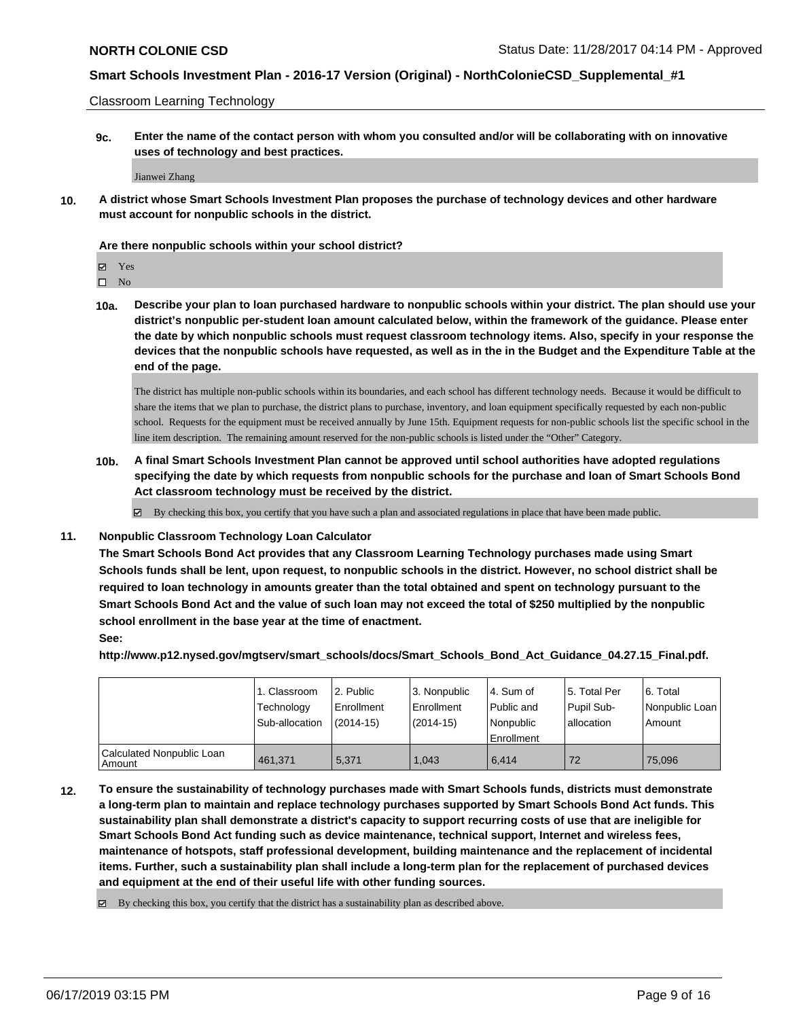Classroom Learning Technology

**9c. Enter the name of the contact person with whom you consulted and/or will be collaborating with on innovative uses of technology and best practices.**

Jianwei Zhang

**10. A district whose Smart Schools Investment Plan proposes the purchase of technology devices and other hardware must account for nonpublic schools in the district.**

#### **Are there nonpublic schools within your school district?**

 $\square$  No

**10a. Describe your plan to loan purchased hardware to nonpublic schools within your district. The plan should use your district's nonpublic per-student loan amount calculated below, within the framework of the guidance. Please enter the date by which nonpublic schools must request classroom technology items. Also, specify in your response the devices that the nonpublic schools have requested, as well as in the in the Budget and the Expenditure Table at the end of the page.**

The district has multiple non-public schools within its boundaries, and each school has different technology needs. Because it would be difficult to share the items that we plan to purchase, the district plans to purchase, inventory, and loan equipment specifically requested by each non-public school. Requests for the equipment must be received annually by June 15th. Equipment requests for non-public schools list the specific school in the line item description. The remaining amount reserved for the non-public schools is listed under the "Other" Category.

**10b. A final Smart Schools Investment Plan cannot be approved until school authorities have adopted regulations specifying the date by which requests from nonpublic schools for the purchase and loan of Smart Schools Bond Act classroom technology must be received by the district.**

 $\boxtimes$  By checking this box, you certify that you have such a plan and associated regulations in place that have been made public.

#### **11. Nonpublic Classroom Technology Loan Calculator**

**The Smart Schools Bond Act provides that any Classroom Learning Technology purchases made using Smart Schools funds shall be lent, upon request, to nonpublic schools in the district. However, no school district shall be required to loan technology in amounts greater than the total obtained and spent on technology pursuant to the Smart Schools Bond Act and the value of such loan may not exceed the total of \$250 multiplied by the nonpublic school enrollment in the base year at the time of enactment.**

**See:**

**http://www.p12.nysed.gov/mgtserv/smart\_schools/docs/Smart\_Schools\_Bond\_Act\_Guidance\_04.27.15\_Final.pdf.**

|                                       | 1. Classroom<br>Technology<br>Sub-allocation | l 2. Public<br>Enrollment<br>(2014-15) | l 3. Nonpublic<br>Enrollment<br>$(2014-15)$ | l 4. Sum of<br>Public and<br>Nonpublic | l 5. Total Per<br>Pupil Sub-<br>l allocation | I6. Total<br>Nonpublic Loan<br>Amount |
|---------------------------------------|----------------------------------------------|----------------------------------------|---------------------------------------------|----------------------------------------|----------------------------------------------|---------------------------------------|
|                                       |                                              |                                        |                                             | Enrollment                             |                                              |                                       |
| Calculated Nonpublic Loan<br>  Amount | 461.371                                      | 5.371                                  | 1.043                                       | 6.414                                  | 72                                           | 75.096                                |

**12. To ensure the sustainability of technology purchases made with Smart Schools funds, districts must demonstrate a long-term plan to maintain and replace technology purchases supported by Smart Schools Bond Act funds. This sustainability plan shall demonstrate a district's capacity to support recurring costs of use that are ineligible for Smart Schools Bond Act funding such as device maintenance, technical support, Internet and wireless fees, maintenance of hotspots, staff professional development, building maintenance and the replacement of incidental items. Further, such a sustainability plan shall include a long-term plan for the replacement of purchased devices and equipment at the end of their useful life with other funding sources.**

 $\boxtimes$  By checking this box, you certify that the district has a sustainability plan as described above.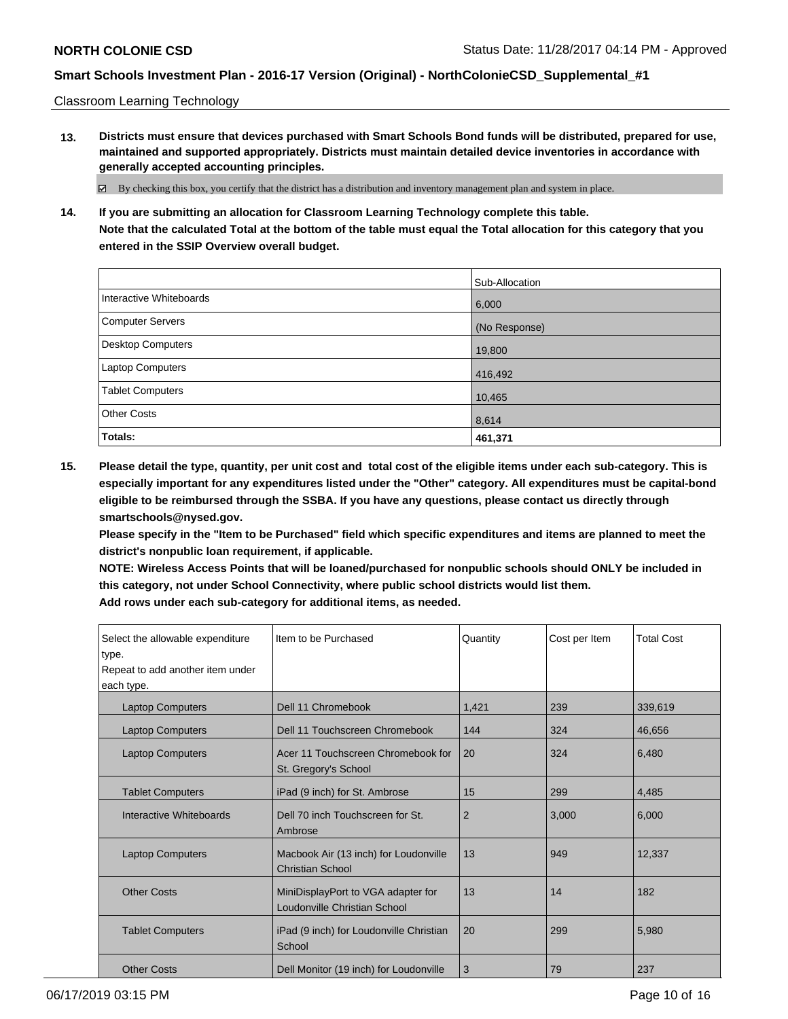Classroom Learning Technology

**13. Districts must ensure that devices purchased with Smart Schools Bond funds will be distributed, prepared for use, maintained and supported appropriately. Districts must maintain detailed device inventories in accordance with generally accepted accounting principles.**

By checking this box, you certify that the district has a distribution and inventory management plan and system in place.

**14. If you are submitting an allocation for Classroom Learning Technology complete this table. Note that the calculated Total at the bottom of the table must equal the Total allocation for this category that you entered in the SSIP Overview overall budget.**

|                          | Sub-Allocation |
|--------------------------|----------------|
| Interactive Whiteboards  | 6,000          |
| <b>Computer Servers</b>  | (No Response)  |
| <b>Desktop Computers</b> | 19,800         |
| Laptop Computers         | 416,492        |
| <b>Tablet Computers</b>  | 10,465         |
| <b>Other Costs</b>       | 8,614          |
| Totals:                  | 461,371        |

**15. Please detail the type, quantity, per unit cost and total cost of the eligible items under each sub-category. This is especially important for any expenditures listed under the "Other" category. All expenditures must be capital-bond eligible to be reimbursed through the SSBA. If you have any questions, please contact us directly through smartschools@nysed.gov.**

**Please specify in the "Item to be Purchased" field which specific expenditures and items are planned to meet the district's nonpublic loan requirement, if applicable.**

**NOTE: Wireless Access Points that will be loaned/purchased for nonpublic schools should ONLY be included in this category, not under School Connectivity, where public school districts would list them.**

| Select the allowable expenditure<br>type.<br>Repeat to add another item under<br>each type. | Item to be Purchased                                               | Quantity | Cost per Item | <b>Total Cost</b> |
|---------------------------------------------------------------------------------------------|--------------------------------------------------------------------|----------|---------------|-------------------|
| <b>Laptop Computers</b>                                                                     | Dell 11 Chromebook                                                 | 1,421    | 239           | 339,619           |
| <b>Laptop Computers</b>                                                                     | Dell 11 Touchscreen Chromebook                                     | 144      | 324           | 46,656            |
| <b>Laptop Computers</b>                                                                     | Acer 11 Touchscreen Chromebook for<br>St. Gregory's School         | 20       | 324           | 6,480             |
| <b>Tablet Computers</b>                                                                     | iPad (9 inch) for St. Ambrose                                      | 15       | 299           | 4,485             |
| Interactive Whiteboards                                                                     | Dell 70 inch Touchscreen for St.<br>Ambrose                        | 2        | 3,000         | 6,000             |
| <b>Laptop Computers</b>                                                                     | Macbook Air (13 inch) for Loudonville<br><b>Christian School</b>   | 13       | 949           | 12,337            |
| <b>Other Costs</b>                                                                          | MiniDisplayPort to VGA adapter for<br>Loudonville Christian School | 13       | 14            | 182               |
| <b>Tablet Computers</b>                                                                     | iPad (9 inch) for Loudonville Christian<br>School                  | 20       | 299           | 5,980             |
| <b>Other Costs</b>                                                                          | Dell Monitor (19 inch) for Loudonville                             | 3        | 79            | 237               |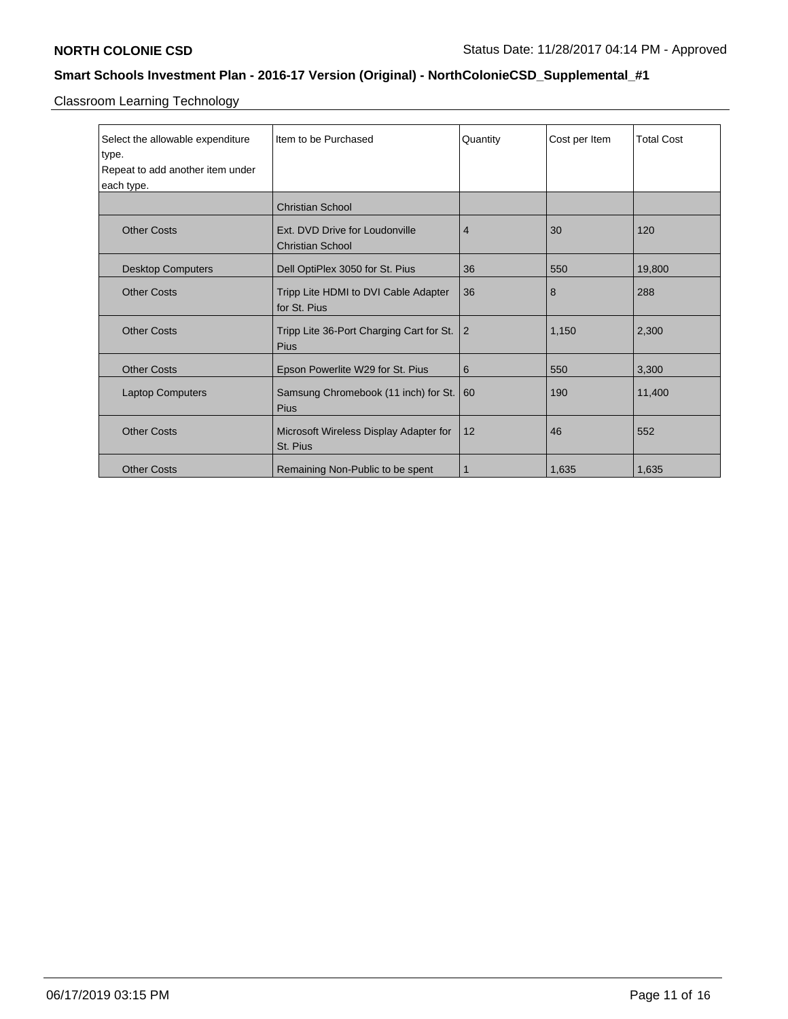Classroom Learning Technology

| Select the allowable expenditure<br>type. | Item to be Purchased                                      | Quantity       | Cost per Item | <b>Total Cost</b> |
|-------------------------------------------|-----------------------------------------------------------|----------------|---------------|-------------------|
| Repeat to add another item under          |                                                           |                |               |                   |
| each type.                                |                                                           |                |               |                   |
|                                           | <b>Christian School</b>                                   |                |               |                   |
| <b>Other Costs</b>                        | Ext. DVD Drive for Loudonville<br><b>Christian School</b> | $\overline{4}$ | 30            | 120               |
| <b>Desktop Computers</b>                  | Dell OptiPlex 3050 for St. Pius                           | 36             | 550           | 19,800            |
| <b>Other Costs</b>                        | Tripp Lite HDMI to DVI Cable Adapter<br>for St. Pius      | 36             | 8             | 288               |
| <b>Other Costs</b>                        | Tripp Lite 36-Port Charging Cart for St.<br><b>Pius</b>   | $\overline{2}$ | 1,150         | 2,300             |
| <b>Other Costs</b>                        | Epson Powerlite W29 for St. Pius                          | 6              | 550           | 3,300             |
| <b>Laptop Computers</b>                   | Samsung Chromebook (11 inch) for St.<br><b>Pius</b>       | 60             | 190           | 11,400            |
| <b>Other Costs</b>                        | Microsoft Wireless Display Adapter for<br>St. Pius        | 12             | 46            | 552               |
| <b>Other Costs</b>                        | Remaining Non-Public to be spent                          | 1              | 1,635         | 1,635             |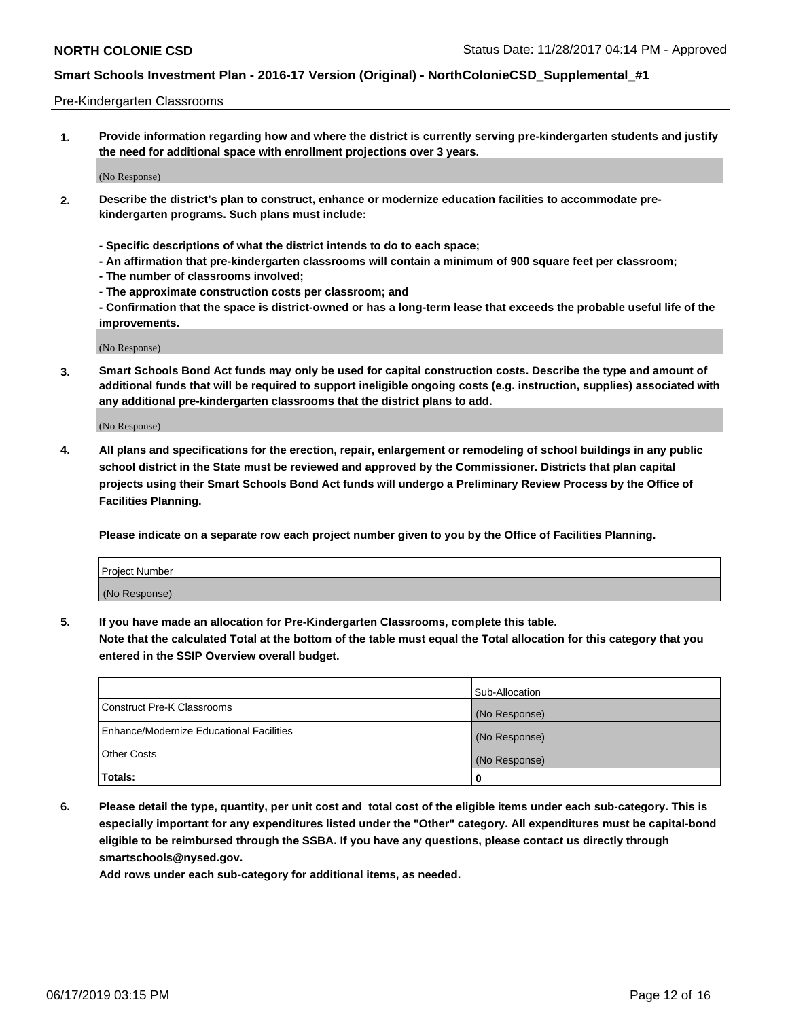#### Pre-Kindergarten Classrooms

**1. Provide information regarding how and where the district is currently serving pre-kindergarten students and justify the need for additional space with enrollment projections over 3 years.**

(No Response)

- **2. Describe the district's plan to construct, enhance or modernize education facilities to accommodate prekindergarten programs. Such plans must include:**
	- **Specific descriptions of what the district intends to do to each space;**
	- **An affirmation that pre-kindergarten classrooms will contain a minimum of 900 square feet per classroom;**
	- **The number of classrooms involved;**
	- **The approximate construction costs per classroom; and**
	- **Confirmation that the space is district-owned or has a long-term lease that exceeds the probable useful life of the improvements.**

(No Response)

**3. Smart Schools Bond Act funds may only be used for capital construction costs. Describe the type and amount of additional funds that will be required to support ineligible ongoing costs (e.g. instruction, supplies) associated with any additional pre-kindergarten classrooms that the district plans to add.**

(No Response)

**4. All plans and specifications for the erection, repair, enlargement or remodeling of school buildings in any public school district in the State must be reviewed and approved by the Commissioner. Districts that plan capital projects using their Smart Schools Bond Act funds will undergo a Preliminary Review Process by the Office of Facilities Planning.**

**Please indicate on a separate row each project number given to you by the Office of Facilities Planning.**

| Project Number |  |
|----------------|--|
| (No Response)  |  |
|                |  |

**5. If you have made an allocation for Pre-Kindergarten Classrooms, complete this table.**

**Note that the calculated Total at the bottom of the table must equal the Total allocation for this category that you entered in the SSIP Overview overall budget.**

|                                          | Sub-Allocation |
|------------------------------------------|----------------|
| Construct Pre-K Classrooms               | (No Response)  |
| Enhance/Modernize Educational Facilities | (No Response)  |
| <b>Other Costs</b>                       | (No Response)  |
| Totals:                                  | 0              |

**6. Please detail the type, quantity, per unit cost and total cost of the eligible items under each sub-category. This is especially important for any expenditures listed under the "Other" category. All expenditures must be capital-bond eligible to be reimbursed through the SSBA. If you have any questions, please contact us directly through smartschools@nysed.gov.**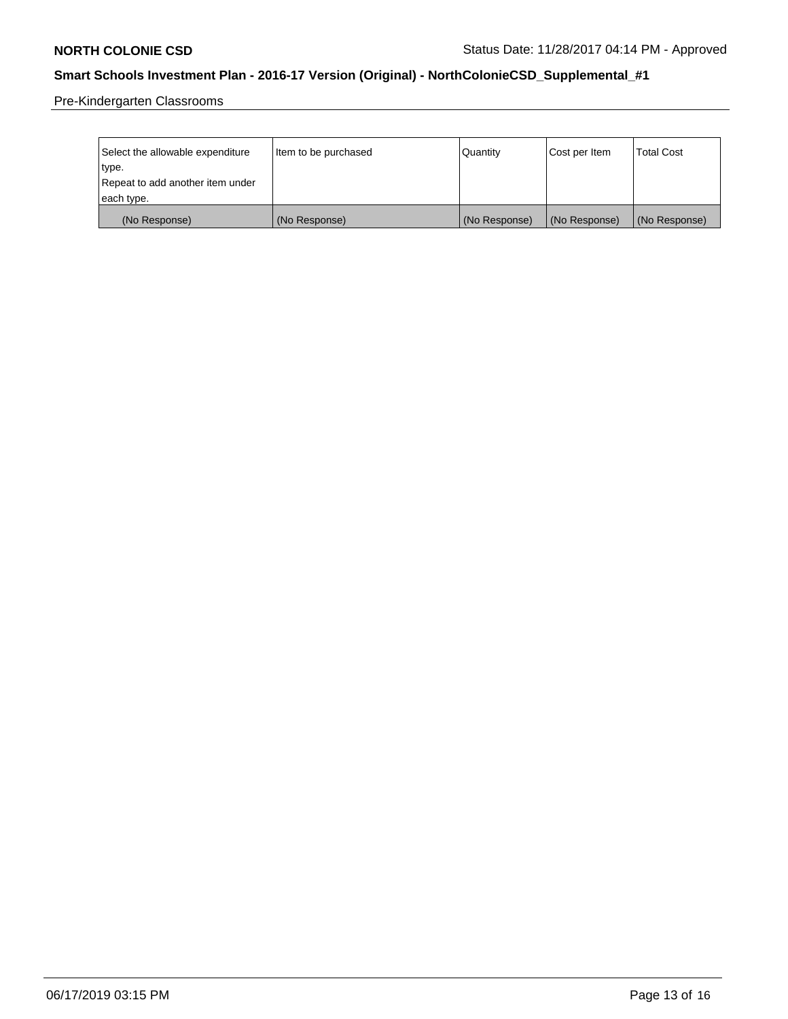Pre-Kindergarten Classrooms

| Select the allowable expenditure | Item to be purchased | Quantity      | Cost per Item | <b>Total Cost</b> |
|----------------------------------|----------------------|---------------|---------------|-------------------|
| type.                            |                      |               |               |                   |
| Repeat to add another item under |                      |               |               |                   |
| each type.                       |                      |               |               |                   |
| (No Response)                    | (No Response)        | (No Response) | (No Response) | (No Response)     |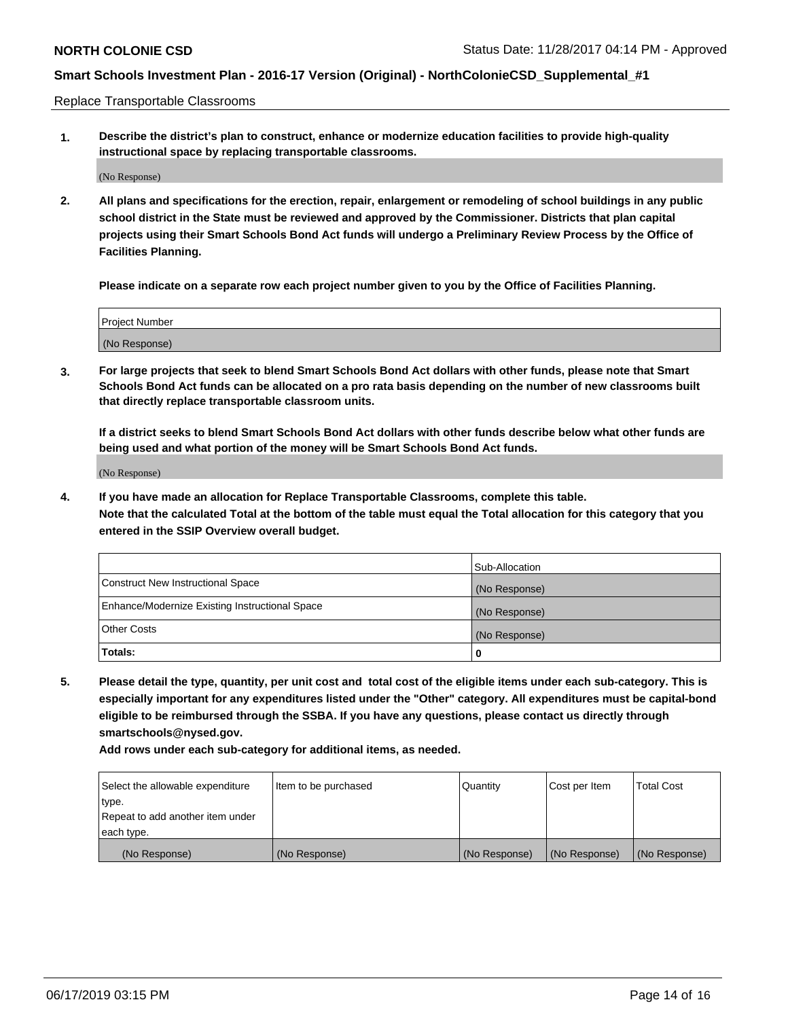Replace Transportable Classrooms

**1. Describe the district's plan to construct, enhance or modernize education facilities to provide high-quality instructional space by replacing transportable classrooms.**

(No Response)

**2. All plans and specifications for the erection, repair, enlargement or remodeling of school buildings in any public school district in the State must be reviewed and approved by the Commissioner. Districts that plan capital projects using their Smart Schools Bond Act funds will undergo a Preliminary Review Process by the Office of Facilities Planning.**

**Please indicate on a separate row each project number given to you by the Office of Facilities Planning.**

| Project Number |  |
|----------------|--|
|                |  |
|                |  |
|                |  |
|                |  |
| (No Response)  |  |
|                |  |
|                |  |
|                |  |

**3. For large projects that seek to blend Smart Schools Bond Act dollars with other funds, please note that Smart Schools Bond Act funds can be allocated on a pro rata basis depending on the number of new classrooms built that directly replace transportable classroom units.**

**If a district seeks to blend Smart Schools Bond Act dollars with other funds describe below what other funds are being used and what portion of the money will be Smart Schools Bond Act funds.**

(No Response)

**4. If you have made an allocation for Replace Transportable Classrooms, complete this table. Note that the calculated Total at the bottom of the table must equal the Total allocation for this category that you entered in the SSIP Overview overall budget.**

|                                                | Sub-Allocation |
|------------------------------------------------|----------------|
| Construct New Instructional Space              | (No Response)  |
| Enhance/Modernize Existing Instructional Space | (No Response)  |
| <b>Other Costs</b>                             | (No Response)  |
| Totals:                                        | 0              |

**5. Please detail the type, quantity, per unit cost and total cost of the eligible items under each sub-category. This is especially important for any expenditures listed under the "Other" category. All expenditures must be capital-bond eligible to be reimbursed through the SSBA. If you have any questions, please contact us directly through smartschools@nysed.gov.**

| Select the allowable expenditure | Item to be purchased | l Quantitv    | Cost per Item | <b>Total Cost</b> |
|----------------------------------|----------------------|---------------|---------------|-------------------|
| type.                            |                      |               |               |                   |
| Repeat to add another item under |                      |               |               |                   |
| each type.                       |                      |               |               |                   |
| (No Response)                    | (No Response)        | (No Response) | (No Response) | (No Response)     |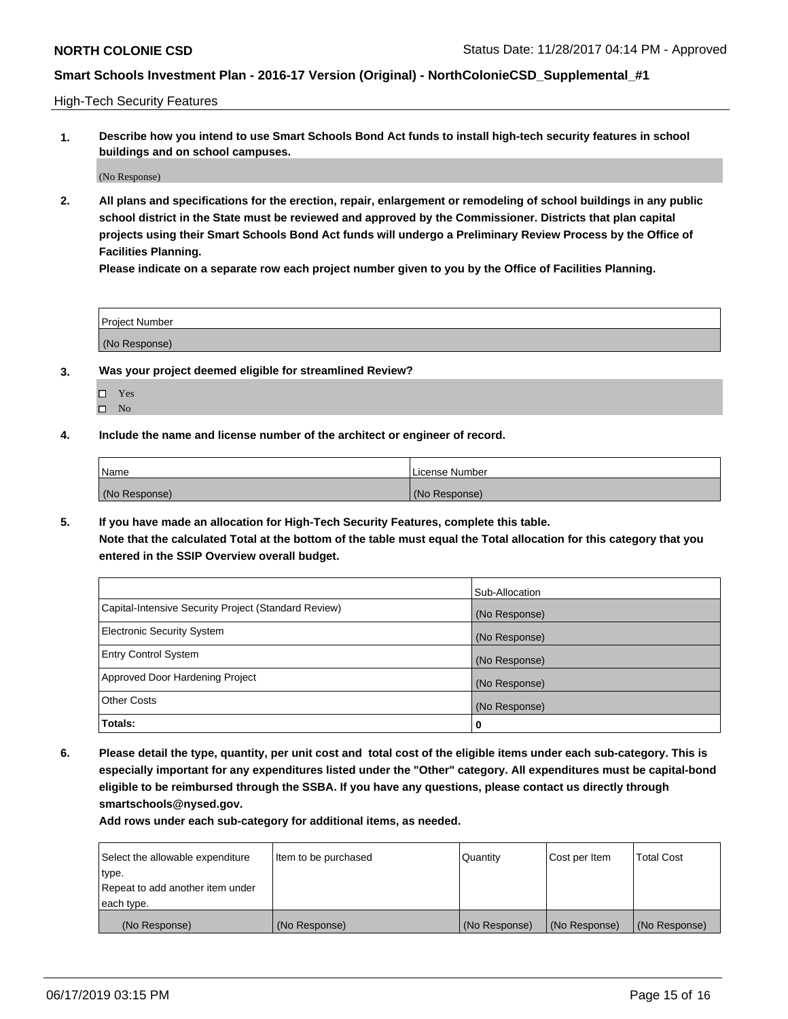High-Tech Security Features

**1. Describe how you intend to use Smart Schools Bond Act funds to install high-tech security features in school buildings and on school campuses.**

(No Response)

**2. All plans and specifications for the erection, repair, enlargement or remodeling of school buildings in any public school district in the State must be reviewed and approved by the Commissioner. Districts that plan capital projects using their Smart Schools Bond Act funds will undergo a Preliminary Review Process by the Office of Facilities Planning.** 

**Please indicate on a separate row each project number given to you by the Office of Facilities Planning.**

| <b>Project Number</b> |  |
|-----------------------|--|
| (No Response)         |  |

- **3. Was your project deemed eligible for streamlined Review?**
	- Yes
	- $\square$  No
- **4. Include the name and license number of the architect or engineer of record.**

| <b>Name</b>   | License Number |
|---------------|----------------|
| (No Response) | (No Response)  |

**5. If you have made an allocation for High-Tech Security Features, complete this table.**

**Note that the calculated Total at the bottom of the table must equal the Total allocation for this category that you entered in the SSIP Overview overall budget.**

|                                                      | Sub-Allocation |
|------------------------------------------------------|----------------|
| Capital-Intensive Security Project (Standard Review) | (No Response)  |
| <b>Electronic Security System</b>                    | (No Response)  |
| <b>Entry Control System</b>                          | (No Response)  |
| Approved Door Hardening Project                      | (No Response)  |
| <b>Other Costs</b>                                   | (No Response)  |
| Totals:                                              | 0              |

**6. Please detail the type, quantity, per unit cost and total cost of the eligible items under each sub-category. This is especially important for any expenditures listed under the "Other" category. All expenditures must be capital-bond eligible to be reimbursed through the SSBA. If you have any questions, please contact us directly through smartschools@nysed.gov.**

| Select the allowable expenditure | Item to be purchased | Quantity      | Cost per Item | <b>Total Cost</b> |
|----------------------------------|----------------------|---------------|---------------|-------------------|
| type.                            |                      |               |               |                   |
| Repeat to add another item under |                      |               |               |                   |
| each type.                       |                      |               |               |                   |
| (No Response)                    | (No Response)        | (No Response) | (No Response) | (No Response)     |